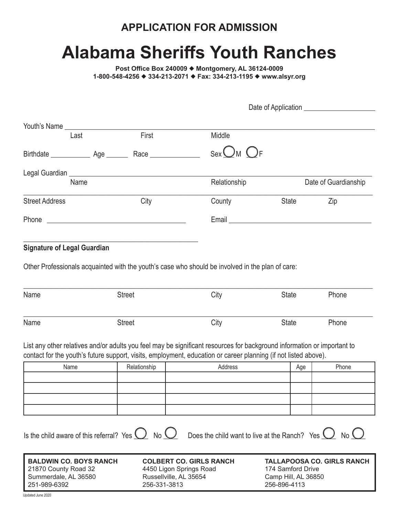## **APPLICATION FOR ADMISSION**

# **Alabama Sheriffs Youth Ranches**

Post Office Box 240009 ♦ Montgomery, AL 36124-0009 1-800-548-4256 ♦ 334-213-2071 ♦ Fax: 334-213-1195 ♦ www.alsyr.org

| Last                                                                                                                                                               |  | First                          | Middle                                                                                                                                                                                                                                     |              |     |                      |
|--------------------------------------------------------------------------------------------------------------------------------------------------------------------|--|--------------------------------|--------------------------------------------------------------------------------------------------------------------------------------------------------------------------------------------------------------------------------------------|--------------|-----|----------------------|
|                                                                                                                                                                    |  |                                | $SexOM$ $OF$                                                                                                                                                                                                                               |              |     |                      |
| Name                                                                                                                                                               |  |                                | Relationship                                                                                                                                                                                                                               |              |     | Date of Guardianship |
| <b>Street Address</b>                                                                                                                                              |  | City                           | County                                                                                                                                                                                                                                     | State        |     | Zip                  |
|                                                                                                                                                                    |  |                                |                                                                                                                                                                                                                                            |              |     |                      |
|                                                                                                                                                                    |  |                                | Email experience and the state of the state of the state of the state of the state of the state of the state of the state of the state of the state of the state of the state of the state of the state of the state of the st             |              |     |                      |
| <b>Signature of Legal Guardian</b>                                                                                                                                 |  |                                |                                                                                                                                                                                                                                            |              |     |                      |
|                                                                                                                                                                    |  |                                | Other Professionals acquainted with the youth's case who should be involved in the plan of care:                                                                                                                                           |              |     |                      |
| Name                                                                                                                                                               |  | <b>Street</b>                  | City                                                                                                                                                                                                                                       | <b>State</b> |     | Phone                |
| Name                                                                                                                                                               |  | <b>Street</b>                  | City                                                                                                                                                                                                                                       | <b>State</b> |     | Phone                |
|                                                                                                                                                                    |  |                                | List any other relatives and/or adults you feel may be significant resources for background information or important to<br>contact for the youth's future support, visits, employment, education or career planning (if not listed above). |              |     |                      |
| Name                                                                                                                                                               |  | Relationship                   | Address                                                                                                                                                                                                                                    |              | Age | Phone                |
|                                                                                                                                                                    |  |                                |                                                                                                                                                                                                                                            |              |     |                      |
|                                                                                                                                                                    |  |                                |                                                                                                                                                                                                                                            |              |     |                      |
|                                                                                                                                                                    |  |                                |                                                                                                                                                                                                                                            |              |     |                      |
| Is the child aware of this referral? Yes $\bigcirc$ No $\bigcirc$                                                                                                  |  |                                | Does the child want to live at the Ranch? Yes $\bigcirc$ No $\bigcirc$                                                                                                                                                                     |              |     |                      |
| <b>BALDWIN CO. BOYS RANCH</b><br>21870 County Road 32<br>4450 Ligon Springs Road<br>Summerdale, AL 36580<br>Russellville, AL 35654<br>251-989-6392<br>256-331-3813 |  | <b>COLBERT CO. GIRLS RANCH</b> | <b>TALLAPOOSA CO. GIRLS RANCH</b><br>174 Samford Drive<br>Camp Hill, AL 36850<br>256-896-4113                                                                                                                                              |              |     |                      |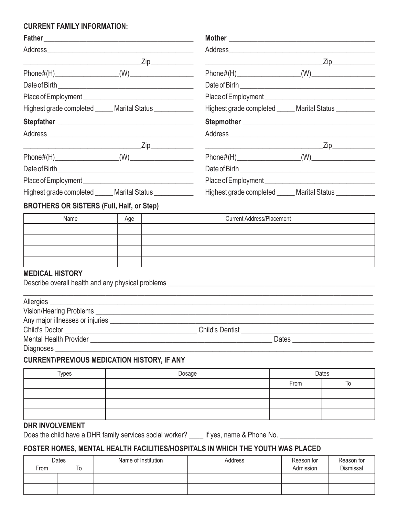## **CURRENT FAMILY INFORMATION:**

|                                                                                          | Zip______________                                          |
|------------------------------------------------------------------------------------------|------------------------------------------------------------|
|                                                                                          |                                                            |
|                                                                                          |                                                            |
|                                                                                          |                                                            |
| Highest grade completed ______ Marital Status ____________                               | Highest grade completed ______ Marital Status ____________ |
|                                                                                          |                                                            |
|                                                                                          |                                                            |
|                                                                                          | $\mathsf{Zip}\_$                                           |
|                                                                                          |                                                            |
|                                                                                          |                                                            |
|                                                                                          |                                                            |
| Highest grade completed ______ Marital Status ____________                               | Highest grade completed ______ Marital Status __________   |
| <b>BROTHERS OR SISTERS (Full, Half, or Step)</b>                                         |                                                            |
| $\lambda$ lamo $\lambda$ ao $\lambda$<br>the contract of the contract of the contract of | Curront Address Discompost                                 |

| Name | Age | <b>Current Address/Placement</b> |
|------|-----|----------------------------------|
|      |     |                                  |
|      |     |                                  |
|      |     |                                  |
|      |     |                                  |

## **MEDICAL HISTORY**

Describe overall health and any physical problems \_\_\_\_\_\_\_\_\_\_\_\_\_\_\_\_\_\_\_\_\_\_\_\_\_\_\_\_\_\_\_\_\_\_\_\_\_\_\_\_\_\_\_\_\_\_\_\_\_\_\_\_\_\_\_\_\_\_

| Vision/Hearing Problems <b>Manual Accord Problems</b> |                                   |  |
|-------------------------------------------------------|-----------------------------------|--|
|                                                       |                                   |  |
| Child's Doctor                                        | Child's Dentist <b>Example 20</b> |  |
| <b>Mental Health Provider</b>                         | <b>Dates</b>                      |  |
| Diagnoses                                             |                                   |  |

## **CURRENT/PREVIOUS MEDICATION HISTORY, IF ANY**

| Types | Dosage | Dates |  |
|-------|--------|-------|--|
|       |        | From  |  |
|       |        |       |  |
|       |        |       |  |
|       |        |       |  |

## **DHR INVOLVEMENT**

Does the child have a DHR family services social worker? \_\_\_\_ If yes, name & Phone No. \_\_\_\_\_\_\_\_\_\_\_\_\_\_\_\_\_\_\_\_\_\_\_

## **FOSTER HOMES, MENTAL HEALTH FACILITIES/HOSPITALS IN WHICH THE YOUTH WAS PLACED**

|      | Dates | Name of Institution | Address | Reason for | Reason for |
|------|-------|---------------------|---------|------------|------------|
| From | То    |                     |         | Admission  | Dismissal  |
|      |       |                     |         |            |            |
|      |       |                     |         |            |            |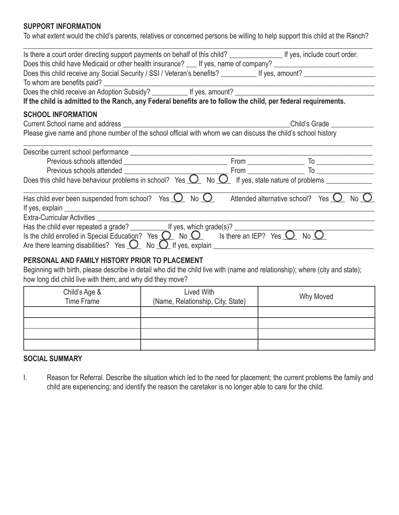## **SUPPORT INFORMATION**

To what extent would the child's parents, relatives or concerned persons be willing to help support this child at the Ranch?

| Is there a court order directing support payments on behalf of this child? ________________________ If yes, include court order.                                                                                                       |  |
|----------------------------------------------------------------------------------------------------------------------------------------------------------------------------------------------------------------------------------------|--|
| Does this child have Medicaid or other health insurance? ___ If yes, name of company? ________________________                                                                                                                         |  |
|                                                                                                                                                                                                                                        |  |
| To whom are benefits paid?<br><u> and the manual contract of the manual contract of the manual contract of the manual contract of the manual contract of the manual contract of the manual contract of the manual contract of the </u> |  |
|                                                                                                                                                                                                                                        |  |
| If the child is admitted to the Ranch, any Federal benefits are to follow the child, per federal requirements.                                                                                                                         |  |
| <b>SCHOOL INFORMATION</b>                                                                                                                                                                                                              |  |
|                                                                                                                                                                                                                                        |  |
| Please give name and phone number of the school official with whom we can discuss the child's school history                                                                                                                           |  |
|                                                                                                                                                                                                                                        |  |
| Describe current school performance <b>contained a manufacture of the contact of the contact of the contact of the contact of the contact of the contact of the contact of the contact of the contact of the contact of the cont</b>   |  |
|                                                                                                                                                                                                                                        |  |
| Previous schools attended <u>From</u> From To <u>From</u> To <u>From</u> To <u>From</u> Does this child have behaviour problems in school? Yes <b>O</b> No <b>O</b> If yes, state nature of problems                                   |  |
|                                                                                                                                                                                                                                        |  |
| Has child ever been suspended from school? Yes $\Omega$ No $\Omega$ Attended alternative school? Yes $\Omega$ No $\Omega$                                                                                                              |  |
|                                                                                                                                                                                                                                        |  |
|                                                                                                                                                                                                                                        |  |
| Has the child ever repeated a grade? $\frac{1}{2}$ If yes, which grade(s)?<br>Is the child enrolled in Special Education? Yes $\frac{1}{2}$ No $\frac{1}{2}$ Is there an IEP? Yes $\frac{1}{2}$ No $\frac{1}{2}$                       |  |
| Are there learning disabilities? Yes $\bigcirc$ No $\bigcirc$ If yes, explain                                                                                                                                                          |  |
|                                                                                                                                                                                                                                        |  |
| PERSONAL AND FAMILY HISTORY PRIOR TO PLACEMENT                                                                                                                                                                                         |  |
| Beginning with birth, please describe in detail who did the child live with (name and relationship); where (city and state);                                                                                                           |  |
| how long did child live with them; and why did they move?                                                                                                                                                                              |  |

| Child's Age &<br>Time Frame | Lived With<br>(Name, Relationship, City, State) | <b>Why Moved</b> |
|-----------------------------|-------------------------------------------------|------------------|
|                             |                                                 |                  |
|                             |                                                 |                  |
|                             |                                                 |                  |
|                             |                                                 |                  |

## **SOCIAL SUMMARY**

I. Reason for Referral. Describe the situation which led to the need for placement; the current problems the family and child are experiencing; and identify the reason the caretaker is no longer able to care for the child.